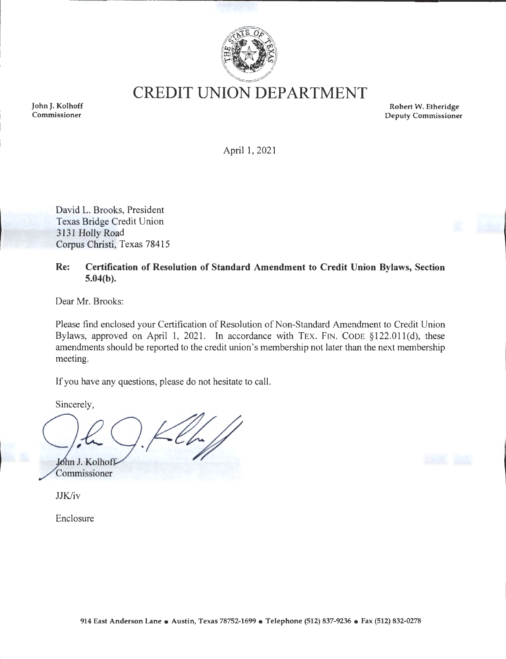

**CREDIT UNION DEPARTMENT** 

**John J. Kolhoff Commissioner** 

**Robert W. Etheridge Deputy Commissioner** 

April 1, 2021

David L. Brooks, President Texas Bridge Credit Union 3131 Holly Road Corpus Christi, Texas 78415

**Re: Certification of Resolution of Standard Amendment to Credit Union Bylaws, Section 5.04(b).** 

Dear Mr. Brooks:

Please find enclosed your Certification of Resolution of Non-Standard Amendment to Credit Union Bylaws, approved on April 1, 2021. In accordance with TEX. FIN. CODE §122.01 l(d), these amendments should be reported to the credit union's membership not later than the next membership meeting.

If you have any questions, please do not hesitate to call.

Sincerely,

John J. Kolhoff Commissioner

JJK/iv

Enclosure

**914 East Anderson Lane** • **Austin, Texas 78752-1699** • **Telephone (512) 837-9236** • **Fax (512) 832-0278**